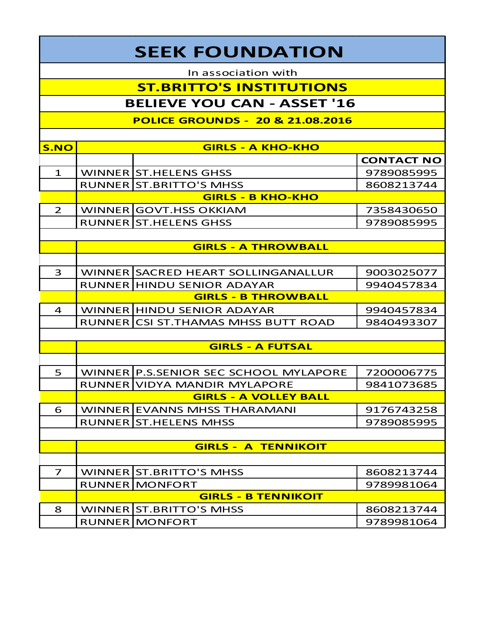## **SEEK FOUNDATION**

In association with

## **ST.BRITTO'S INSTITUTIONS**

## **BELIEVE YOU CAN - ASSET '16**

**POLICE GROUNDS - 20 & 21.08.2016**

| <b>S.NO</b>    | <b>GIRLS - A KHO-KHO</b>     |                                       |                   |  |  |
|----------------|------------------------------|---------------------------------------|-------------------|--|--|
|                |                              |                                       | <b>CONTACT NO</b> |  |  |
| $\mathbf{1}$   |                              | WINNER ST. HELENS GHSS                | 9789085995        |  |  |
|                |                              | RUNNER ST.BRITTO'S MHSS               | 8608213744        |  |  |
|                | <b>GIRLS - B KHO-KHO</b>     |                                       |                   |  |  |
| $\overline{2}$ |                              | WINNER GOVT.HSS OKKIAM                | 7358430650        |  |  |
|                |                              | <b>RUNNER ST.HELENS GHSS</b>          | 9789085995        |  |  |
|                |                              |                                       |                   |  |  |
|                | <b>GIRLS - A THROWBALL</b>   |                                       |                   |  |  |
|                |                              |                                       |                   |  |  |
| 3              |                              | WINNER SACRED HEART SOLLINGANALLUR    | 9003025077        |  |  |
|                |                              | <b>RUNNER HINDU SENIOR ADAYAR</b>     | 9940457834        |  |  |
|                | <b>GIRLS - B THROWBALL</b>   |                                       |                   |  |  |
| $\overline{4}$ |                              | WINNER HINDU SENIOR ADAYAR            | 9940457834        |  |  |
|                |                              | RUNNER CSI ST. THAMAS MHSS BUTT ROAD  | 9840493307        |  |  |
|                |                              |                                       |                   |  |  |
|                | <b>GIRLS - A FUTSAL</b>      |                                       |                   |  |  |
|                |                              |                                       |                   |  |  |
| 5              |                              | WINNER P.S.SENIOR SEC SCHOOL MYLAPORE | 7200006775        |  |  |
|                |                              | RUNNER VIDYA MANDIR MYLAPORE          | 9841073685        |  |  |
|                | <b>GIRLS - A VOLLEY BALL</b> |                                       |                   |  |  |
| 6              |                              | WINNER EVANNS MHSS THARAMANI          | 9176743258        |  |  |
|                |                              | <b>RUNNER ST.HELENS MHSS</b>          | 9789085995        |  |  |
|                |                              |                                       |                   |  |  |
|                | <b>GIRLS - A TENNIKOIT</b>   |                                       |                   |  |  |
|                |                              |                                       |                   |  |  |
| $\overline{7}$ |                              | WINNER ST.BRITTO'S MHSS               | 8608213744        |  |  |
|                |                              | <b>RUNNER MONFORT</b>                 | 9789981064        |  |  |
|                | <b>GIRLS - B TENNIKOIT</b>   |                                       |                   |  |  |
| 8              |                              | WINNER ST.BRITTO'S MHSS               | 8608213744        |  |  |
|                |                              | <b>RUNNER MONFORT</b>                 | 9789981064        |  |  |